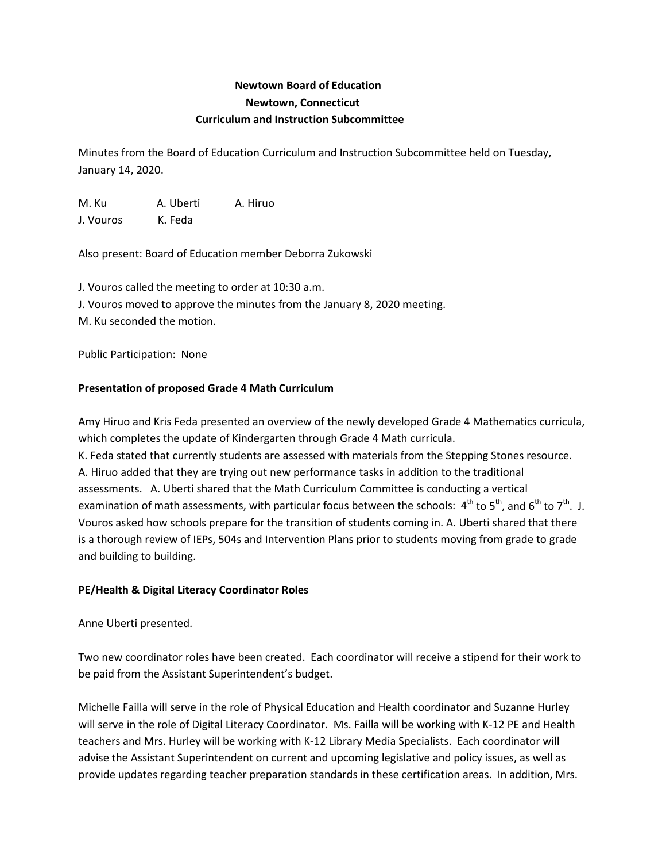## **Newtown Board of Education Newtown, Connecticut Curriculum and Instruction Subcommittee**

Minutes from the Board of Education Curriculum and Instruction Subcommittee held on Tuesday, January 14, 2020.

M. Ku A. Uberti A. Hiruo J. Vouros K. Feda

Also present: Board of Education member Deborra Zukowski

J. Vouros called the meeting to order at 10:30 a.m. J. Vouros moved to approve the minutes from the January 8, 2020 meeting. M. Ku seconded the motion.

Public Participation: None

## **Presentation of proposed Grade 4 Math Curriculum**

Amy Hiruo and Kris Feda presented an overview of the newly developed Grade 4 Mathematics curricula, which completes the update of Kindergarten through Grade 4 Math curricula.

K. Feda stated that currently students are assessed with materials from the Stepping Stones resource. A. Hiruo added that they are trying out new performance tasks in addition to the traditional assessments. A. Uberti shared that the Math Curriculum Committee is conducting a vertical examination of math assessments, with particular focus between the schools:  $4^{th}$  to  $5^{th}$ , and  $6^{th}$  to  $7^{th}$ . J. Vouros asked how schools prepare for the transition of students coming in. A. Uberti shared that there is a thorough review of IEPs, 504s and Intervention Plans prior to students moving from grade to grade and building to building.

## **PE/Health & Digital Literacy Coordinator Roles**

Anne Uberti presented.

Two new coordinator roles have been created. Each coordinator will receive a stipend for their work to be paid from the Assistant Superintendent's budget.

Michelle Failla will serve in the role of Physical Education and Health coordinator and Suzanne Hurley will serve in the role of Digital Literacy Coordinator. Ms. Failla will be working with K-12 PE and Health teachers and Mrs. Hurley will be working with K-12 Library Media Specialists. Each coordinator will advise the Assistant Superintendent on current and upcoming legislative and policy issues, as well as provide updates regarding teacher preparation standards in these certification areas. In addition, Mrs.